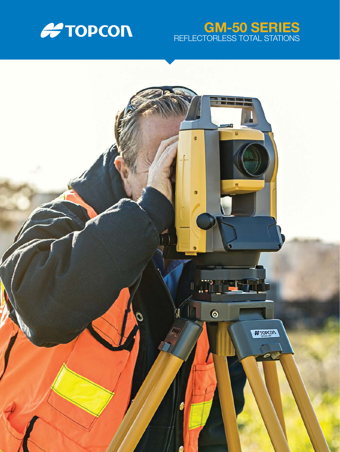

# GM-50 SERIES REFLECTORLESS TOTAL STATIONS

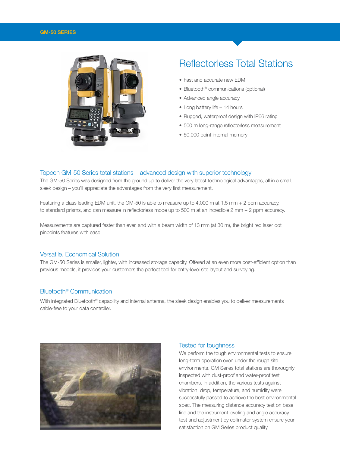#### GM-50 SERIES



# Reflectorless Total Stations

- Fast and accurate new EDM
- Bluetooth<sup>®</sup> communications (optional)
- Advanced angle accuracy
- Long battery life 14 hours
- Rugged, waterproof design with IP66 rating
- 500 m long-range reflectorless measurement
- 50,000 point internal memory

### Topcon GM-50 Series total stations – advanced design with superior technology

The GM-50 Series was designed from the ground up to deliver the very latest technological advantages, all in a small, sleek design – you'll appreciate the advantages from the very first measurement.

Featuring a class leading EDM unit, the GM-50 is able to measure up to 4,000 m at 1.5 mm + 2 ppm accuracy, to standard prisms, and can measure in reflectorless mode up to 500 m at an incredible 2 mm + 2 ppm accuracy.

Measurements are captured faster than ever, and with a beam width of 13 mm (at 30 m), the bright red laser dot pinpoints features with ease.

### Versatile, Economical Solution

The GM-50 Series is smaller, lighter, with increased storage capacity. Offered at an even more cost-efficient option than previous models, it provides your customers the perfect tool for entry-level site layout and surveying.

## Bluetooth® Communication

With integrated Bluetooth<sup>®</sup> capability and internal antenna, the sleek design enables you to deliver measurements cable-free to your data controller.



#### Tested for toughness

We perform the tough environmental tests to ensure long-term operation even under the rough site environments. GM Series total stations are thoroughly inspected with dust-proof and water-proof test chambers. In addition, the various tests against vibration, drop, temperature, and humidity were successfully passed to achieve the best environmental spec. The measuring distance accuracy test on base line and the instrument leveling and angle accuracy test and adjustment by collimator system ensure your satisfaction on GM Series product quality.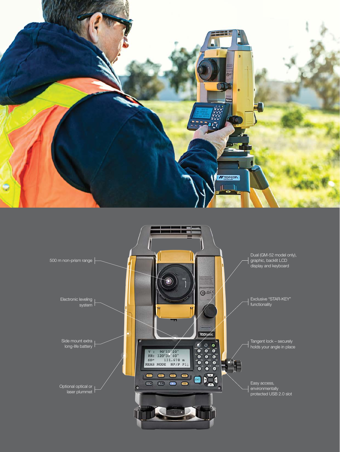